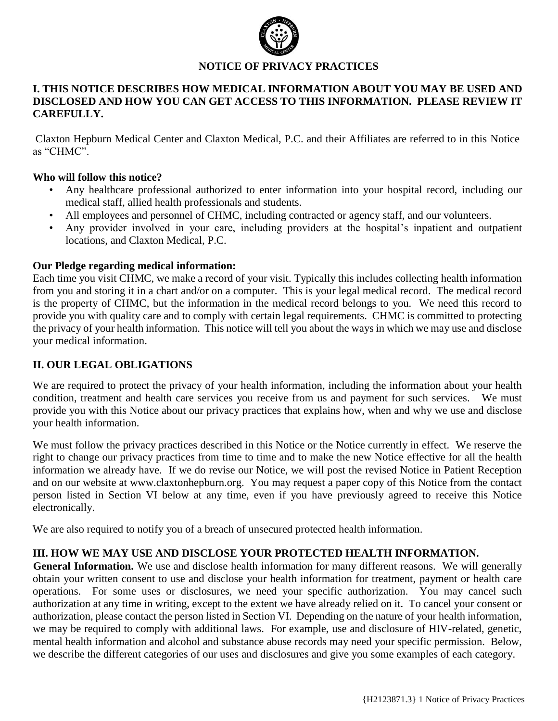

# **NOTICE OF PRIVACY PRACTICES**

## **I. THIS NOTICE DESCRIBES HOW MEDICAL INFORMATION ABOUT YOU MAY BE USED AND DISCLOSED AND HOW YOU CAN GET ACCESS TO THIS INFORMATION. PLEASE REVIEW IT CAREFULLY.**

Claxton Hepburn Medical Center and Claxton Medical, P.C. and their Affiliates are referred to in this Notice as "CHMC".

## **Who will follow this notice?**

- Any healthcare professional authorized to enter information into your hospital record, including our medical staff, allied health professionals and students.
- All employees and personnel of CHMC, including contracted or agency staff, and our volunteers.
- Any provider involved in your care, including providers at the hospital's inpatient and outpatient locations, and Claxton Medical, P.C.

### **Our Pledge regarding medical information:**

Each time you visit CHMC, we make a record of your visit. Typically this includes collecting health information from you and storing it in a chart and/or on a computer. This is your legal medical record. The medical record is the property of CHMC, but the information in the medical record belongs to you. We need this record to provide you with quality care and to comply with certain legal requirements. CHMC is committed to protecting the privacy of your health information. This notice will tell you about the ways in which we may use and disclose your medical information.

## **II. OUR LEGAL OBLIGATIONS**

We are required to protect the privacy of your health information, including the information about your health condition, treatment and health care services you receive from us and payment for such services. We must provide you with this Notice about our privacy practices that explains how, when and why we use and disclose your health information.

We must follow the privacy practices described in this Notice or the Notice currently in effect. We reserve the right to change our privacy practices from time to time and to make the new Notice effective for all the health information we already have. If we do revise our Notice, we will post the revised Notice in Patient Reception and on our website at www.claxtonhepburn.org. You may request a paper copy of this Notice from the contact person listed in Section VI below at any time, even if you have previously agreed to receive this Notice electronically.

We are also required to notify you of a breach of unsecured protected health information.

### **III. HOW WE MAY USE AND DISCLOSE YOUR PROTECTED HEALTH INFORMATION.**

**General Information.** We use and disclose health information for many different reasons. We will generally obtain your written consent to use and disclose your health information for treatment, payment or health care operations. For some uses or disclosures, we need your specific authorization. You may cancel such authorization at any time in writing, except to the extent we have already relied on it. To cancel your consent or authorization, please contact the person listed in Section VI. Depending on the nature of your health information, we may be required to comply with additional laws. For example, use and disclosure of HIV-related, genetic, mental health information and alcohol and substance abuse records may need your specific permission. Below, we describe the different categories of our uses and disclosures and give you some examples of each category.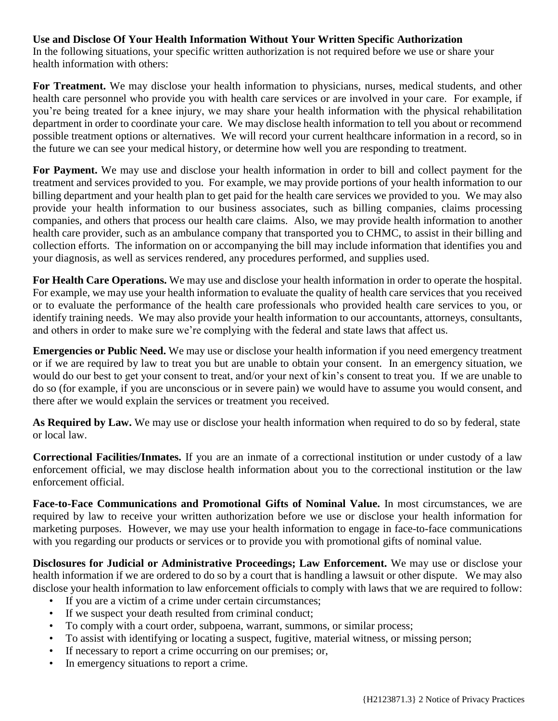# **Use and Disclose Of Your Health Information Without Your Written Specific Authorization**

In the following situations, your specific written authorization is not required before we use or share your health information with others:

**For Treatment.** We may disclose your health information to physicians, nurses, medical students, and other health care personnel who provide you with health care services or are involved in your care. For example, if you're being treated for a knee injury, we may share your health information with the physical rehabilitation department in order to coordinate your care. We may disclose health information to tell you about or recommend possible treatment options or alternatives. We will record your current healthcare information in a record, so in the future we can see your medical history, or determine how well you are responding to treatment.

**For Payment.** We may use and disclose your health information in order to bill and collect payment for the treatment and services provided to you. For example, we may provide portions of your health information to our billing department and your health plan to get paid for the health care services we provided to you. We may also provide your health information to our business associates, such as billing companies, claims processing companies, and others that process our health care claims. Also, we may provide health information to another health care provider, such as an ambulance company that transported you to CHMC, to assist in their billing and collection efforts. The information on or accompanying the bill may include information that identifies you and your diagnosis, as well as services rendered, any procedures performed, and supplies used.

**For Health Care Operations.** We may use and disclose your health information in order to operate the hospital. For example, we may use your health information to evaluate the quality of health care services that you received or to evaluate the performance of the health care professionals who provided health care services to you, or identify training needs. We may also provide your health information to our accountants, attorneys, consultants, and others in order to make sure we're complying with the federal and state laws that affect us.

**Emergencies or Public Need.** We may use or disclose your health information if you need emergency treatment or if we are required by law to treat you but are unable to obtain your consent. In an emergency situation, we would do our best to get your consent to treat, and/or your next of kin's consent to treat you. If we are unable to do so (for example, if you are unconscious or in severe pain) we would have to assume you would consent, and there after we would explain the services or treatment you received.

**As Required by Law.** We may use or disclose your health information when required to do so by federal, state or local law.

**Correctional Facilities/Inmates.** If you are an inmate of a correctional institution or under custody of a law enforcement official, we may disclose health information about you to the correctional institution or the law enforcement official.

**Face-to-Face Communications and Promotional Gifts of Nominal Value.** In most circumstances, we are required by law to receive your written authorization before we use or disclose your health information for marketing purposes. However, we may use your health information to engage in face-to-face communications with you regarding our products or services or to provide you with promotional gifts of nominal value.

**Disclosures for Judicial or Administrative Proceedings; Law Enforcement.** We may use or disclose your health information if we are ordered to do so by a court that is handling a lawsuit or other dispute. We may also disclose your health information to law enforcement officials to comply with laws that we are required to follow:

- If you are a victim of a crime under certain circumstances;
- If we suspect your death resulted from criminal conduct;
- To comply with a court order, subpoena, warrant, summons, or similar process;
- To assist with identifying or locating a suspect, fugitive, material witness, or missing person;
- If necessary to report a crime occurring on our premises; or,
- In emergency situations to report a crime.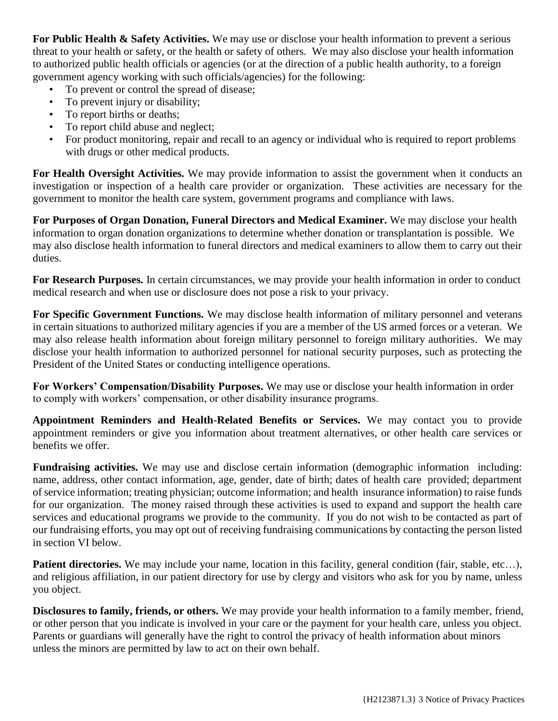**For Public Health & Safety Activities.** We may use or disclose your health information to prevent a serious threat to your health or safety, or the health or safety of others. We may also disclose your health information to authorized public health officials or agencies (or at the direction of a public health authority, to a foreign government agency working with such officials/agencies) for the following:

- To prevent or control the spread of disease;
- To prevent injury or disability;
- To report births or deaths;
- To report child abuse and neglect;
- For product monitoring, repair and recall to an agency or individual who is required to report problems with drugs or other medical products.

**For Health Oversight Activities.** We may provide information to assist the government when it conducts an investigation or inspection of a health care provider or organization. These activities are necessary for the government to monitor the health care system, government programs and compliance with laws.

**For Purposes of Organ Donation, Funeral Directors and Medical Examiner.** We may disclose your health information to organ donation organizations to determine whether donation or transplantation is possible. We may also disclose health information to funeral directors and medical examiners to allow them to carry out their duties.

**For Research Purposes.** In certain circumstances, we may provide your health information in order to conduct medical research and when use or disclosure does not pose a risk to your privacy.

**For Specific Government Functions.** We may disclose health information of military personnel and veterans in certain situations to authorized military agencies if you are a member of the US armed forces or a veteran. We may also release health information about foreign military personnel to foreign military authorities. We may disclose your health information to authorized personnel for national security purposes, such as protecting the President of the United States or conducting intelligence operations.

**For Workers' Compensation/Disability Purposes.** We may use or disclose your health information in order to comply with workers' compensation, or other disability insurance programs.

**Appointment Reminders and Health-Related Benefits or Services.** We may contact you to provide appointment reminders or give you information about treatment alternatives, or other health care services or benefits we offer.

**Fundraising activities.** We may use and disclose certain information (demographic information including: name, address, other contact information, age, gender, date of birth; dates of health care provided; department of service information; treating physician; outcome information; and health insurance information) to raise funds for our organization. The money raised through these activities is used to expand and support the health care services and educational programs we provide to the community. If you do not wish to be contacted as part of our fundraising efforts, you may opt out of receiving fundraising communications by contacting the person listed in section VI below.

**Patient directories.** We may include your name, location in this facility, general condition (fair, stable, etc...), and religious affiliation, in our patient directory for use by clergy and visitors who ask for you by name, unless you object.

**Disclosures to family, friends, or others.** We may provide your health information to a family member, friend, or other person that you indicate is involved in your care or the payment for your health care, unless you object. Parents or guardians will generally have the right to control the privacy of health information about minors unless the minors are permitted by law to act on their own behalf.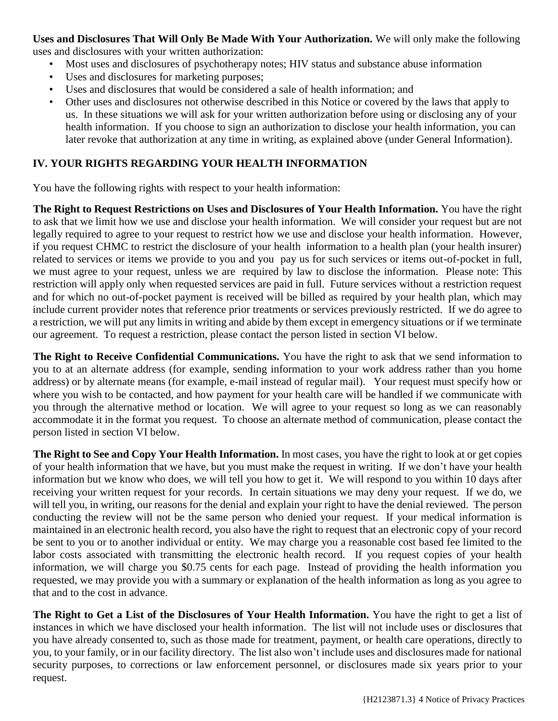**Uses and Disclosures That Will Only Be Made With Your Authorization.** We will only make the following uses and disclosures with your written authorization:

- Most uses and disclosures of psychotherapy notes; HIV status and substance abuse information
- Uses and disclosures for marketing purposes;
- Uses and disclosures that would be considered a sale of health information; and
- Other uses and disclosures not otherwise described in this Notice or covered by the laws that apply to us. In these situations we will ask for your written authorization before using or disclosing any of your health information. If you choose to sign an authorization to disclose your health information, you can later revoke that authorization at any time in writing, as explained above (under General Information).

# **IV. YOUR RIGHTS REGARDING YOUR HEALTH INFORMATION**

You have the following rights with respect to your health information:

**The Right to Request Restrictions on Uses and Disclosures of Your Health Information.** You have the right to ask that we limit how we use and disclose your health information. We will consider your request but are not legally required to agree to your request to restrict how we use and disclose your health information. However, if you request CHMC to restrict the disclosure of your health information to a health plan (your health insurer) related to services or items we provide to you and you pay us for such services or items out-of-pocket in full, we must agree to your request, unless we are required by law to disclose the information. Please note: This restriction will apply only when requested services are paid in full. Future services without a restriction request and for which no out-of-pocket payment is received will be billed as required by your health plan, which may include current provider notes that reference prior treatments or services previously restricted. If we do agree to a restriction, we will put any limits in writing and abide by them except in emergency situations or if we terminate our agreement. To request a restriction, please contact the person listed in section VI below.

**The Right to Receive Confidential Communications.** You have the right to ask that we send information to you to at an alternate address (for example, sending information to your work address rather than you home address) or by alternate means (for example, e-mail instead of regular mail). Your request must specify how or where you wish to be contacted, and how payment for your health care will be handled if we communicate with you through the alternative method or location. We will agree to your request so long as we can reasonably accommodate it in the format you request. To choose an alternate method of communication, please contact the person listed in section VI below.

**The Right to See and Copy Your Health Information.** In most cases, you have the right to look at or get copies of your health information that we have, but you must make the request in writing. If we don't have your health information but we know who does, we will tell you how to get it. We will respond to you within 10 days after receiving your written request for your records. In certain situations we may deny your request. If we do, we will tell you, in writing, our reasons for the denial and explain your right to have the denial reviewed. The person conducting the review will not be the same person who denied your request. If your medical information is maintained in an electronic health record, you also have the right to request that an electronic copy of your record be sent to you or to another individual or entity. We may charge you a reasonable cost based fee limited to the labor costs associated with transmitting the electronic health record. If you request copies of your health information, we will charge you \$0.75 cents for each page. Instead of providing the health information you requested, we may provide you with a summary or explanation of the health information as long as you agree to that and to the cost in advance.

**The Right to Get a List of the Disclosures of Your Health Information.** You have the right to get a list of instances in which we have disclosed your health information. The list will not include uses or disclosures that you have already consented to, such as those made for treatment, payment, or health care operations, directly to you, to your family, or in our facility directory. The list also won't include uses and disclosures made for national security purposes, to corrections or law enforcement personnel, or disclosures made six years prior to your request.